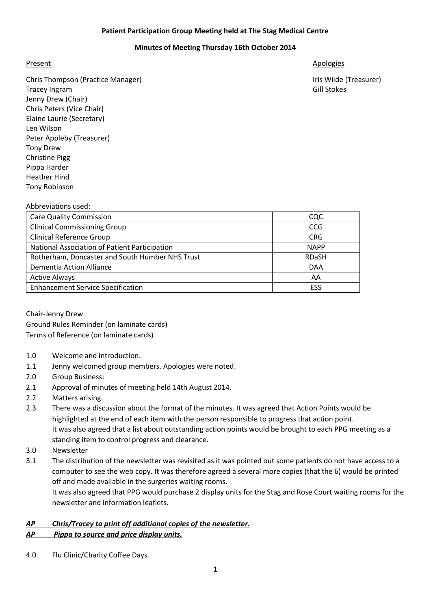## **Patient Participation Group Meeting held at The Stag Medical Centre**

# **Minutes of Meeting Thursday 16th October 2014**

Chris Thompson (Practice Manager) **International Chris Wilde (Treasurer)** Iris Wilde (Treasurer) Tracey Ingram Gill Stokes Jenny Drew (Chair) Chris Peters (Vice Chair) Elaine Laurie (Secretary) Len Wilson Peter Appleby (Treasurer) Tony Drew Christine Pigg Pippa Harder Heather Hind Tony Robinson

## Present Apologies and Apologies and Apologies and Apologies and Apologies and Apologies and Apologies and Apologies

### Abbreviations used:

| <b>Care Quality Commission</b>                  | CQC          |
|-------------------------------------------------|--------------|
| <b>Clinical Commissioning Group</b>             | <b>CCG</b>   |
| <b>Clinical Reference Group</b>                 | <b>CRG</b>   |
| National Association of Patient Participation   | <b>NAPP</b>  |
| Rotherham, Doncaster and South Humber NHS Trust | <b>RDaSH</b> |
| <b>Dementia Action Alliance</b>                 | <b>DAA</b>   |
| <b>Active Always</b>                            | AA           |
| <b>Enhancement Service Specification</b>        | ESS          |

Chair-Jenny Drew Ground Rules Reminder (on laminate cards) Terms of Reference (on laminate cards)

- 1.0 Welcome and introduction.
- 1.1 Jenny welcomed group members. Apologies were noted.
- 2.0 Group Business:
- 2.1 Approval of minutes of meeting held 14th August 2014.
- 2.2 Matters arising.
- 2.3 There was a discussion about the format of the minutes. It was agreed that Action Points would be highlighted at the end of each item with the person responsible to progress that action point. It was also agreed that a list about outstanding action points would be brought to each PPG meeting as a standing item to control progress and clearance.
- 3.0 Newsletter
- 3.1 The distribution of the newsletter was revisited as it was pointed out some patients do not have access to a computer to see the web copy. It was therefore agreed a several more copies (that the 6) would be printed off and made available in the surgeries waiting rooms.

It was also agreed that PPG would purchase 2 display units for the Stag and Rose Court waiting rooms for the newsletter and information leaflets.

# *AP Chris/Tracey to print off additional copies of the newsletter. AP Pippa to source and price display units.*

4.0 Flu Clinic/Charity Coffee Days.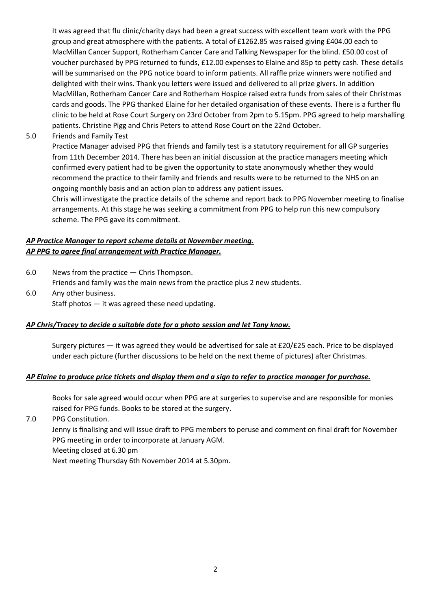It was agreed that flu clinic/charity days had been a great success with excellent team work with the PPG group and great atmosphere with the patients. A total of £1262.85 was raised giving £404.00 each to MacMillan Cancer Support, Rotherham Cancer Care and Talking Newspaper for the blind. £50.00 cost of voucher purchased by PPG returned to funds, £12.00 expenses to Elaine and 85p to petty cash. These details will be summarised on the PPG notice board to inform patients. All raffle prize winners were notified and delighted with their wins. Thank you letters were issued and delivered to all prize givers. In addition MacMillan, Rotherham Cancer Care and Rotherham Hospice raised extra funds from sales of their Christmas cards and goods. The PPG thanked Elaine for her detailed organisation of these events. There is a further flu clinic to be held at Rose Court Surgery on 23rd October from 2pm to 5.15pm. PPG agreed to help marshalling patients. Christine Pigg and Chris Peters to attend Rose Court on the 22nd October.

5.0 Friends and Family Test

Practice Manager advised PPG that friends and family test is a statutory requirement for all GP surgeries from 11th December 2014. There has been an initial discussion at the practice managers meeting which confirmed every patient had to be given the opportunity to state anonymously whether they would recommend the practice to their family and friends and results were to be returned to the NHS on an ongoing monthly basis and an action plan to address any patient issues.

Chris will investigate the practice details of the scheme and report back to PPG November meeting to finalise arrangements. At this stage he was seeking a commitment from PPG to help run this new compulsory scheme. The PPG gave its commitment.

# *AP Practice Manager to report scheme details at November meeting. AP PPG to agree final arrangement with Practice Manager.*

6.0 News from the practice — Chris Thompson.

Friends and family was the main news from the practice plus 2 new students.

6.0 Any other business. Staff photos — it was agreed these need updating.

# *AP Chris/Tracey to decide a suitable date for a photo session and let Tony know.*

Surgery pictures — it was agreed they would be advertised for sale at £20/£25 each. Price to be displayed under each picture (further discussions to be held on the next theme of pictures) after Christmas.

## *AP Elaine to produce price tickets and display them and a sign to refer to practice manager for purchase.*

Books for sale agreed would occur when PPG are at surgeries to supervise and are responsible for monies raised for PPG funds. Books to be stored at the surgery.

7.0 PPG Constitution.

Jenny is finalising and will issue draft to PPG members to peruse and comment on final draft for November PPG meeting in order to incorporate at January AGM. Meeting closed at 6.30 pm

Next meeting Thursday 6th November 2014 at 5.30pm.